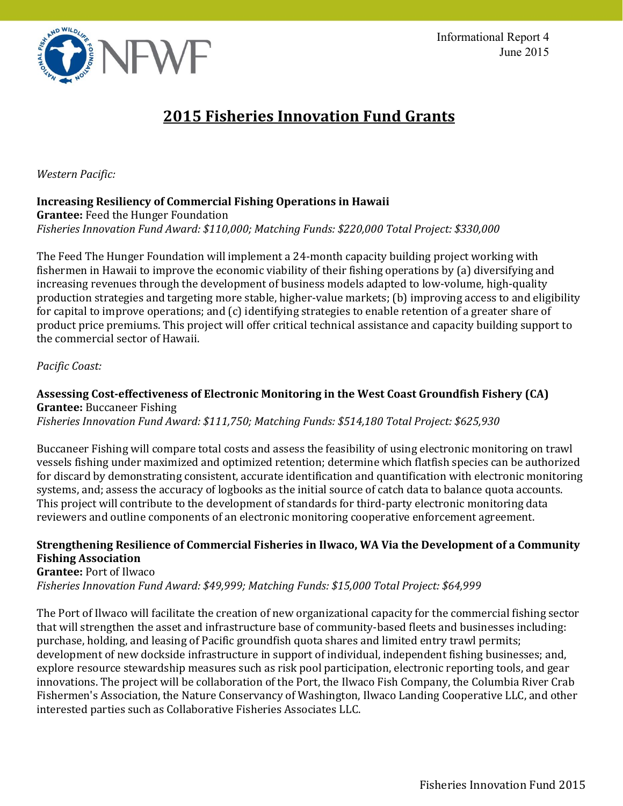

# **2015 Fisheries Innovation Fund Grants**

*Western Pacific:* 

# **Increasing Resiliency of Commercial Fishing Operations in Hawaii**

**Grantee:** Feed the Hunger Foundation *Fisheries Innovation Fund Award: \$110,000; Matching Funds: \$220,000 Total Project: \$330,000* 

The Feed The Hunger Foundation will implement a 24-month capacity building project working with fishermen in Hawaii to improve the economic viability of their fishing operations by (a) diversifying and increasing revenues through the development of business models adapted to low-volume, high-quality production strategies and targeting more stable, higher-value markets; (b) improving access to and eligibility for capital to improve operations; and (c) identifying strategies to enable retention of a greater share of product price premiums. This project will offer critical technical assistance and capacity building support to the commercial sector of Hawaii.

#### *Pacific Coast:*

# **Assessing Cost-effectiveness of Electronic Monitoring in the West Coast Groundfish Fishery (CA) Grantee:** Buccaneer Fishing

*Fisheries Innovation Fund Award: \$111,750; Matching Funds: \$514,180 Total Project: \$625,930* 

Buccaneer Fishing will compare total costs and assess the feasibility of using electronic monitoring on trawl vessels fishing under maximized and optimized retention; determine which flatfish species can be authorized for discard by demonstrating consistent, accurate identification and quantification with electronic monitoring systems, and; assess the accuracy of logbooks as the initial source of catch data to balance quota accounts. This project will contribute to the development of standards for third-party electronic monitoring data reviewers and outline components of an electronic monitoring cooperative enforcement agreement.

# **Strengthening Resilience of Commercial Fisheries in Ilwaco, WA Via the Development of a Community Fishing Association**

**Grantee:** Port of Ilwaco

*Fisheries Innovation Fund Award: \$49,999; Matching Funds: \$15,000 Total Project: \$64,999* 

The Port of Ilwaco will facilitate the creation of new organizational capacity for the commercial fishing sector that will strengthen the asset and infrastructure base of community-based fleets and businesses including: purchase, holding, and leasing of Pacific groundfish quota shares and limited entry trawl permits; development of new dockside infrastructure in support of individual, independent fishing businesses; and, explore resource stewardship measures such as risk pool participation, electronic reporting tools, and gear innovations. The project will be collaboration of the Port, the Ilwaco Fish Company, the Columbia River Crab Fishermen's Association, the Nature Conservancy of Washington, Ilwaco Landing Cooperative LLC, and other interested parties such as Collaborative Fisheries Associates LLC.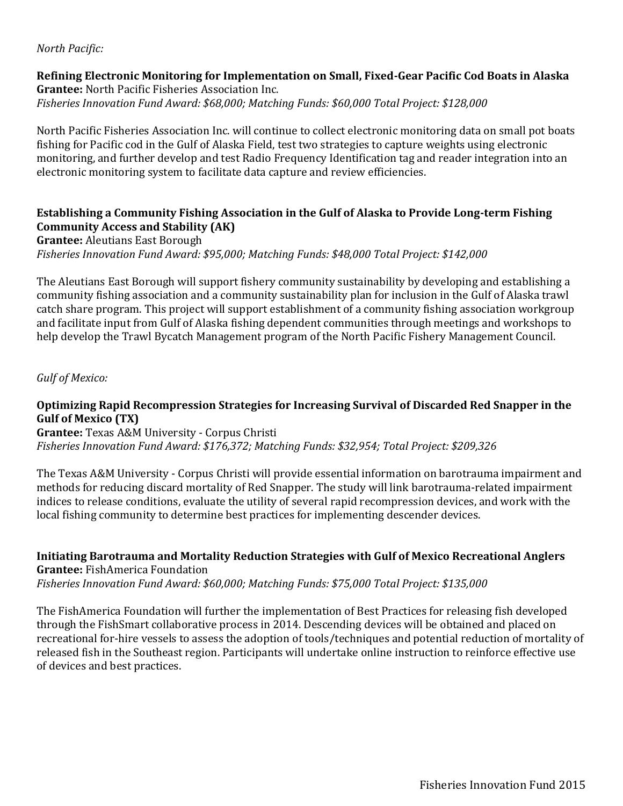#### *North Pacific:*

#### **Refining Electronic Monitoring for Implementation on Small, Fixed-Gear Pacific Cod Boats in Alaska Grantee:** North Pacific Fisheries Association Inc. *Fisheries Innovation Fund Award: \$68,000; Matching Funds: \$60,000 Total Project: \$128,000*

North Pacific Fisheries Association Inc. will continue to collect electronic monitoring data on small pot boats fishing for Pacific cod in the Gulf of Alaska Field, test two strategies to capture weights using electronic monitoring, and further develop and test Radio Frequency Identification tag and reader integration into an electronic monitoring system to facilitate data capture and review efficiencies.

## **Establishing a Community Fishing Association in the Gulf of Alaska to Provide Long-term Fishing Community Access and Stability (AK)**

**Grantee:** Aleutians East Borough *Fisheries Innovation Fund Award: \$95,000; Matching Funds: \$48,000 Total Project: \$142,000*

The Aleutians East Borough will support fishery community sustainability by developing and establishing a community fishing association and a community sustainability plan for inclusion in the Gulf of Alaska trawl catch share program. This project will support establishment of a community fishing association workgroup and facilitate input from Gulf of Alaska fishing dependent communities through meetings and workshops to help develop the Trawl Bycatch Management program of the North Pacific Fishery Management Council.

*Gulf of Mexico:*

## **Optimizing Rapid Recompression Strategies for Increasing Survival of Discarded Red Snapper in the Gulf of Mexico (TX)**

**Grantee:** Texas A&M University - Corpus Christi *Fisheries Innovation Fund Award: \$176,372; Matching Funds: \$32,954; Total Project: \$209,326*

The Texas A&M University - Corpus Christi will provide essential information on barotrauma impairment and methods for reducing discard mortality of Red Snapper. The study will link barotrauma-related impairment indices to release conditions, evaluate the utility of several rapid recompression devices, and work with the local fishing community to determine best practices for implementing descender devices.

**Initiating Barotrauma and Mortality Reduction Strategies with Gulf of Mexico Recreational Anglers Grantee:** FishAmerica Foundation *Fisheries Innovation Fund Award: \$60,000; Matching Funds: \$75,000 Total Project: \$135,000*

The FishAmerica Foundation will further the implementation of Best Practices for releasing fish developed through the FishSmart collaborative process in 2014. Descending devices will be obtained and placed on recreational for-hire vessels to assess the adoption of tools/techniques and potential reduction of mortality of released fish in the Southeast region. Participants will undertake online instruction to reinforce effective use of devices and best practices.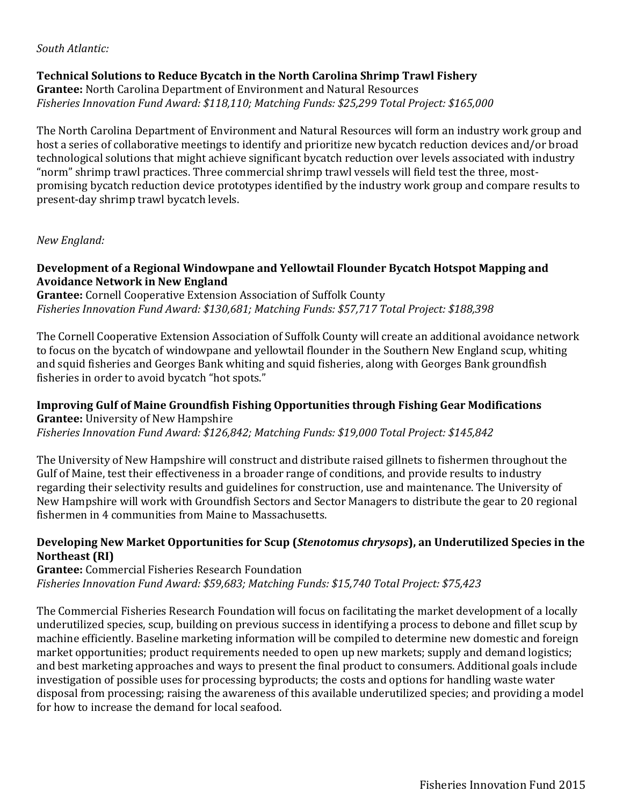#### *South Atlantic:*

# **Technical Solutions to Reduce Bycatch in the North Carolina Shrimp Trawl Fishery**

**Grantee:** North Carolina Department of Environment and Natural Resources *Fisheries Innovation Fund Award: \$118,110; Matching Funds: \$25,299 Total Project: \$165,000*

The North Carolina Department of Environment and Natural Resources will form an industry work group and host a series of collaborative meetings to identify and prioritize new bycatch reduction devices and/or broad technological solutions that might achieve significant bycatch reduction over levels associated with industry "norm" shrimp trawl practices. Three commercial shrimp trawl vessels will field test the three, mostpromising bycatch reduction device prototypes identified by the industry work group and compare results to present-day shrimp trawl bycatch levels.

*New England:* 

#### **Development of a Regional Windowpane and Yellowtail Flounder Bycatch Hotspot Mapping and Avoidance Network in New England**

**Grantee:** Cornell Cooperative Extension Association of Suffolk County *Fisheries Innovation Fund Award: \$130,681; Matching Funds: \$57,717 Total Project: \$188,398*

The Cornell Cooperative Extension Association of Suffolk County will create an additional avoidance network to focus on the bycatch of windowpane and yellowtail flounder in the Southern New England scup, whiting and squid fisheries and Georges Bank whiting and squid fisheries, along with Georges Bank groundfish fisheries in order to avoid bycatch "hot spots."

**Improving Gulf of Maine Groundfish Fishing Opportunities through Fishing Gear Modifications Grantee:** University of New Hampshire *Fisheries Innovation Fund Award: \$126,842; Matching Funds: \$19,000 Total Project: \$145,842*

The University of New Hampshire will construct and distribute raised gillnets to fishermen throughout the Gulf of Maine, test their effectiveness in a broader range of conditions, and provide results to industry regarding their selectivity results and guidelines for construction, use and maintenance. The University of New Hampshire will work with Groundfish Sectors and Sector Managers to distribute the gear to 20 regional fishermen in 4 communities from Maine to Massachusetts.

# **Developing New Market Opportunities for Scup (***Stenotomus chrysops***), an Underutilized Species in the Northeast (RI)**

**Grantee:** Commercial Fisheries Research Foundation *Fisheries Innovation Fund Award: \$59,683; Matching Funds: \$15,740 Total Project: \$75,423*

The Commercial Fisheries Research Foundation will focus on facilitating the market development of a locally underutilized species, scup, building on previous success in identifying a process to debone and fillet scup by machine efficiently. Baseline marketing information will be compiled to determine new domestic and foreign market opportunities; product requirements needed to open up new markets; supply and demand logistics; and best marketing approaches and ways to present the final product to consumers. Additional goals include investigation of possible uses for processing byproducts; the costs and options for handling waste water disposal from processing; raising the awareness of this available underutilized species; and providing a model for how to increase the demand for local seafood.